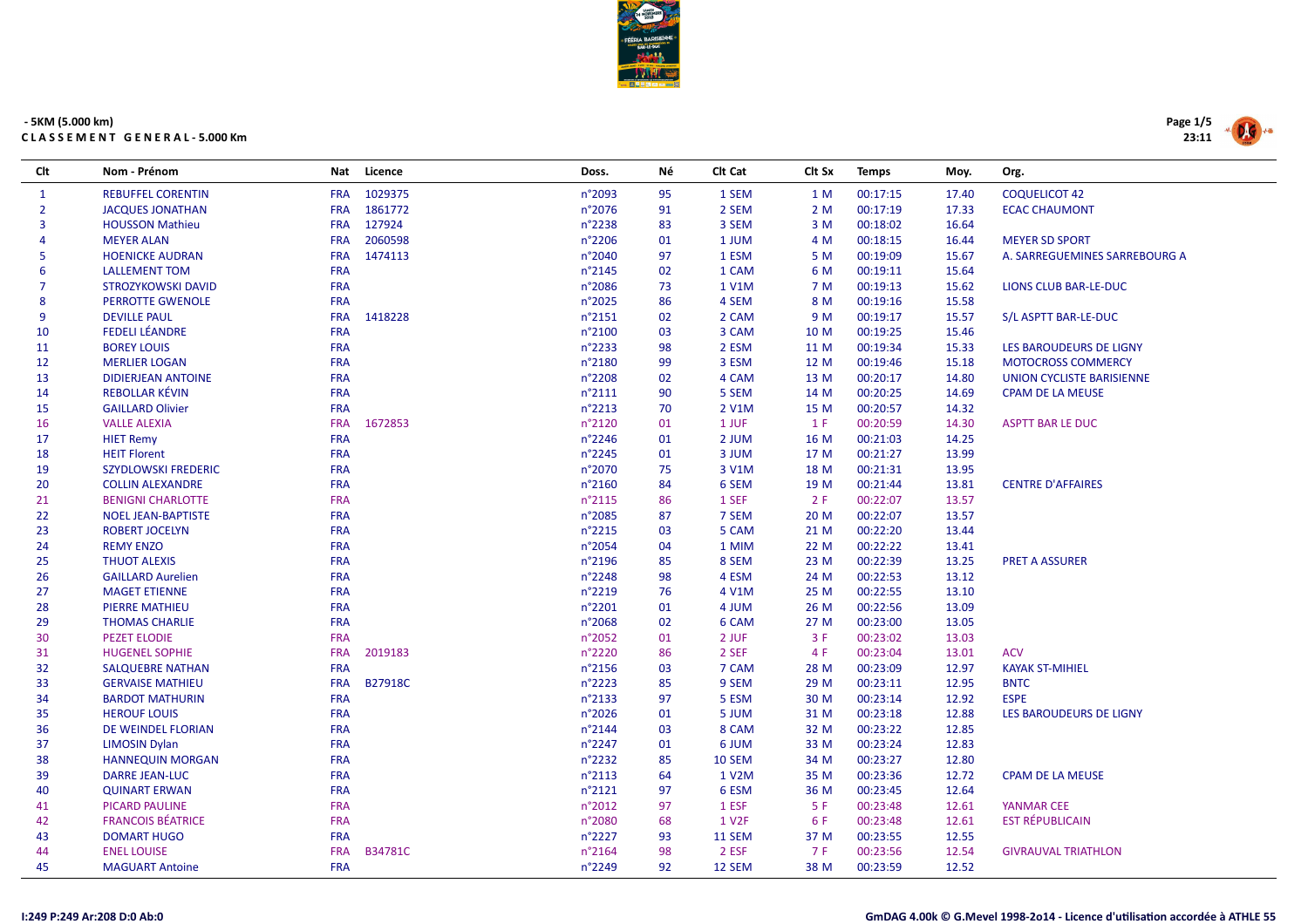

| 1029375<br>n°2093<br>1 SEM<br>00:17:15<br><b>COQUELICOT 42</b><br>$\mathbf{1}$<br><b>REBUFFEL CORENTIN</b><br><b>FRA</b><br>95<br>1 M<br>17.40<br>1861772<br>n°2076<br>2 SEM<br>2M<br>00:17:19<br>17.33<br>$\overline{2}$<br><b>JACQUES JONATHAN</b><br><b>FRA</b><br>91<br><b>ECAC CHAUMONT</b><br>127924<br>00:18:02<br>$\mathbf{R}$<br><b>HOUSSON Mathieu</b><br><b>FRA</b><br>$n^{\circ}$ 2238<br>83<br>3 SEM<br>3 M<br>16.64<br>2060598<br><b>MEYER ALAN</b><br><b>FRA</b><br>$n^{\circ}$ 2206<br>01<br>1 JUM<br>00:18:15<br>16.44<br>4 M<br><b>MEYER SD SPORT</b><br>4<br>1474113<br>97<br>1 ESM<br>00:19:09<br>5<br><b>HOENICKE AUDRAN</b><br><b>FRA</b><br>$n^{\circ}2040$<br>5 M<br>15.67<br>A. SARREGUEMINES SARREBOURG A<br><b>FRA</b><br>02<br>00:19:11<br>6<br><b>LALLEMENT TOM</b><br>$n^{\circ}$ 2145<br>1 CAM<br>6 M<br>15.64<br>n°2086<br>73<br>00:19:13<br>15.62<br><b>STROZYKOWSKI DAVID</b><br><b>FRA</b><br>1 V1M<br>7 M<br>LIONS CLUB BAR-LE-DUC<br>8<br><b>PERROTTE GWENOLE</b><br><b>FRA</b><br>$n^{\circ}2025$<br>86<br>4 SEM<br>8 M<br>00:19:16<br>15.58<br>1418228<br>9<br><b>DEVILLE PAUL</b><br><b>FRA</b><br>$n^{\circ}2151$<br>02<br>2 CAM<br>9 M<br>00:19:17<br>15.57<br>S/L ASPTT BAR-LE-DUC<br><b>FEDELI LÉANDRE</b><br><b>FRA</b><br>10<br>$n^{\circ}2100$<br>03<br>3 CAM<br>10 M<br>00:19:25<br>15.46<br>11<br><b>BOREY LOUIS</b><br><b>FRA</b><br>$n^{\circ}$ 2233<br>98<br>2 ESM<br>11 M<br>00:19:34<br>15.33<br>LES BAROUDEURS DE LIGNY<br>12<br><b>MERLIER LOGAN</b><br><b>FRA</b><br>n°2180<br>99<br>3 ESM<br>12 M<br>00:19:46<br>15.18<br><b>MOTOCROSS COMMERCY</b><br>13<br>n°2208<br>13 M<br>00:20:17<br><b>DIDIERJEAN ANTOINE</b><br><b>FRA</b><br>02<br>4 CAM<br>14.80<br>UNION CYCLISTE BARISIENNE<br>REBOLLAR KÉVIN<br><b>FRA</b><br>00:20:25<br>14<br>$n^{\circ}2111$<br>90<br>5 SEM<br>14 M<br>14.69<br><b>CPAM DE LA MEUSE</b><br>15<br><b>GAILLARD Olivier</b><br><b>FRA</b><br>$n^{\circ}2213$<br>15 M<br>00:20:57<br>70<br>2 V1M<br>14.32<br>16<br>1672853<br><b>VALLE ALEXIA</b><br><b>FRA</b><br>n°2120<br>01<br>1 JUF<br>1 F<br>00:20:59<br>14.30<br><b>ASPTT BAR LE DUC</b><br>17<br><b>FRA</b><br>$n^{\circ}$ 2246<br>01<br>2 JUM<br>16 M<br>00:21:03<br>14.25<br><b>HIET Remy</b><br>18<br><b>FRA</b><br>n°2245<br>01<br>3 JUM<br>17 M<br>00:21:27<br>13.99<br><b>HEIT Florent</b><br>19<br><b>FRA</b><br>n°2070<br>75<br>18 M<br>00:21:31<br>13.95<br><b>SZYDLOWSKI FREDERIC</b><br>3 V1M<br>20<br><b>FRA</b><br>00:21:44<br>13.81<br><b>COLLIN ALEXANDRE</b><br>$n^{\circ}2160$<br>84<br>6 SEM<br>19 M<br><b>CENTRE D'AFFAIRES</b><br><b>FRA</b><br>1 SEF<br>2F<br>00:22:07<br>13.57<br>21<br>$n^{\circ}2115$<br>86<br><b>BENIGNI CHARLOTTE</b><br>22<br><b>FRA</b><br>n°2085<br>87<br>7 SEM<br>20 M<br>00:22:07<br>13.57<br><b>NOEL JEAN-BAPTISTE</b><br>23<br>00:22:20<br><b>ROBERT JOCELYN</b><br><b>FRA</b><br>$n^{\circ}2215$<br>03<br>5 CAM<br>21 M<br>13.44<br>00:22:22<br>24<br><b>REMY ENZO</b><br><b>FRA</b><br>n°2054<br>04<br>22 M<br>13.41<br>1 MIM<br>25<br><b>FRA</b><br>8 SEM<br>23 M<br>00:22:39<br>13.25<br><b>THUOT ALEXIS</b><br>n°2196<br>85<br><b>PRET A ASSURER</b><br>26<br><b>FRA</b><br>n°2248<br>98<br>4 ESM<br>00:22:53<br>13.12<br><b>GAILLARD Aurelien</b><br>24 M<br>27<br><b>FRA</b><br>n°2219<br>00:22:55<br><b>MAGET ETIENNE</b><br>76<br>4 V1M<br>25 M<br>13.10<br>28<br><b>PIERRE MATHIEU</b><br><b>FRA</b><br>$n^{\circ}2201$<br>01<br>4 JUM<br>26 M<br>00:22:56<br>13.09<br>29<br><b>FRA</b><br>00:23:00<br><b>THOMAS CHARLIE</b><br>n°2068<br>02<br>6 CAM<br>27 M<br>13.05<br>30<br><b>PEZET ELODIE</b><br><b>FRA</b><br>n°2052<br>2 JUF<br>3 F<br>00:23:02<br>13.03<br>01<br>31<br><b>FRA</b><br>2019183<br>n°2220<br>86<br>2 SEF<br>4 F<br>00:23:04<br>13.01<br><b>ACV</b><br><b>HUGENEL SOPHIE</b><br>32<br><b>FRA</b><br>n°2156<br>7 CAM<br>28 M<br>00:23:09<br>12.97<br><b>SALQUEBRE NATHAN</b><br>03<br><b>KAYAK ST-MIHIEL</b><br>33<br><b>FRA</b><br>B27918C<br>85<br>9 SEM<br>00:23:11<br><b>GERVAISE MATHIEU</b><br>$n^{\circ}2223$<br>29 M<br>12.95<br><b>BNTC</b><br><b>FRA</b><br>34<br><b>BARDOT MATHURIN</b><br>$n^{\circ}$ 2133<br>97<br>5 ESM<br>30 M<br>00:23:14<br>12.92<br><b>ESPE</b><br>n°2026<br>00:23:18<br>35<br><b>HEROUF LOUIS</b><br><b>FRA</b><br>01<br>5 JUM<br>31 M<br>12.88<br>LES BAROUDEURS DE LIGNY<br>00:23:22<br>12.85<br>36<br>DE WEINDEL FLORIAN<br><b>FRA</b><br>$n^{\circ}$ 2144<br>03<br>8 CAM<br>32 M<br>37<br><b>FRA</b><br>$n^{\circ}$ 2247<br>6 JUM<br>33 M<br>00:23:24<br>12.83<br><b>LIMOSIN Dylan</b><br>01<br>38<br><b>FRA</b><br>n°2232<br>85<br>10 SEM<br>34 M<br>00:23:27<br>12.80<br><b>HANNEQUIN MORGAN</b><br><b>FRA</b><br>64<br>00:23:36<br>39<br><b>DARRE JEAN-LUC</b><br>$n^{\circ}2113$<br>1 V2M<br>35 M<br>12.72<br><b>CPAM DE LA MEUSE</b><br><b>FRA</b><br>97<br>6 ESM<br>00:23:45<br>40<br><b>QUINART ERWAN</b><br>$n^{\circ}2121$<br>36 M<br>12.64<br>n°2012<br>1 ESF<br>00:23:48<br>12.61<br><b>PICARD PAULINE</b><br><b>FRA</b><br>97<br>5F<br><b>YANMAR CEE</b><br>41<br><b>FRANCOIS BÉATRICE</b><br><b>EST RÉPUBLICAIN</b><br>42<br><b>FRA</b><br>n°2080<br>1 V <sub>2</sub> F<br>6 F<br>00:23:48<br>12.61<br>68<br>43<br><b>DOMART HUGO</b><br><b>FRA</b><br>$n^{\circ}$ 2227<br>93<br>11 SEM<br>37 M<br>00:23:55<br>12.55<br>2 ESF<br><b>ENEL LOUISE</b><br><b>FRA</b><br>B34781C<br>$n^{\circ}$ 2164<br>98<br>7 F<br>00:23:56<br>12.54<br>44<br><b>GIVRAUVAL TRIATHLON</b><br><b>FRA</b><br>45<br><b>MAGUART Antoine</b><br>$n^{\circ}$ 2249<br>92<br>12 SEM<br>38 M<br>00:23:59<br>12.52 | Clt | Nom - Prénom | Nat Licence | Doss. | Νé | Clt Cat | Clt Sx | <b>Temps</b> | Moy. | Org. |
|------------------------------------------------------------------------------------------------------------------------------------------------------------------------------------------------------------------------------------------------------------------------------------------------------------------------------------------------------------------------------------------------------------------------------------------------------------------------------------------------------------------------------------------------------------------------------------------------------------------------------------------------------------------------------------------------------------------------------------------------------------------------------------------------------------------------------------------------------------------------------------------------------------------------------------------------------------------------------------------------------------------------------------------------------------------------------------------------------------------------------------------------------------------------------------------------------------------------------------------------------------------------------------------------------------------------------------------------------------------------------------------------------------------------------------------------------------------------------------------------------------------------------------------------------------------------------------------------------------------------------------------------------------------------------------------------------------------------------------------------------------------------------------------------------------------------------------------------------------------------------------------------------------------------------------------------------------------------------------------------------------------------------------------------------------------------------------------------------------------------------------------------------------------------------------------------------------------------------------------------------------------------------------------------------------------------------------------------------------------------------------------------------------------------------------------------------------------------------------------------------------------------------------------------------------------------------------------------------------------------------------------------------------------------------------------------------------------------------------------------------------------------------------------------------------------------------------------------------------------------------------------------------------------------------------------------------------------------------------------------------------------------------------------------------------------------------------------------------------------------------------------------------------------------------------------------------------------------------------------------------------------------------------------------------------------------------------------------------------------------------------------------------------------------------------------------------------------------------------------------------------------------------------------------------------------------------------------------------------------------------------------------------------------------------------------------------------------------------------------------------------------------------------------------------------------------------------------------------------------------------------------------------------------------------------------------------------------------------------------------------------------------------------------------------------------------------------------------------------------------------------------------------------------------------------------------------------------------------------------------------------------------------------------------------------------------------------------------------------------------------------------------------------------------------------------------------------------------------------------------------------------------------------------------------------------------------------------------------------------------------------------------------------------------------------------------------------------------------------------------------------------------------------------------------------------------------------------------------------------------------------------------------------------------------------------------------------------------------------------------------------------------------------------------------------------------------------------------------------------------------------------------------------------------------------------------------------------------------------------------------------------------------------------------------------------------------------------------------------------------------------------------------------------------------------------------------------------------------------------------------------------------------------------------------------------------|-----|--------------|-------------|-------|----|---------|--------|--------------|------|------|
|                                                                                                                                                                                                                                                                                                                                                                                                                                                                                                                                                                                                                                                                                                                                                                                                                                                                                                                                                                                                                                                                                                                                                                                                                                                                                                                                                                                                                                                                                                                                                                                                                                                                                                                                                                                                                                                                                                                                                                                                                                                                                                                                                                                                                                                                                                                                                                                                                                                                                                                                                                                                                                                                                                                                                                                                                                                                                                                                                                                                                                                                                                                                                                                                                                                                                                                                                                                                                                                                                                                                                                                                                                                                                                                                                                                                                                                                                                                                                                                                                                                                                                                                                                                                                                                                                                                                                                                                                                                                                                                                                                                                                                                                                                                                                                                                                                                                                                                                                                                                                                                                                                                                                                                                                                                                                                                                                                                                                                                                                                                                                                        |     |              |             |       |    |         |        |              |      |      |
|                                                                                                                                                                                                                                                                                                                                                                                                                                                                                                                                                                                                                                                                                                                                                                                                                                                                                                                                                                                                                                                                                                                                                                                                                                                                                                                                                                                                                                                                                                                                                                                                                                                                                                                                                                                                                                                                                                                                                                                                                                                                                                                                                                                                                                                                                                                                                                                                                                                                                                                                                                                                                                                                                                                                                                                                                                                                                                                                                                                                                                                                                                                                                                                                                                                                                                                                                                                                                                                                                                                                                                                                                                                                                                                                                                                                                                                                                                                                                                                                                                                                                                                                                                                                                                                                                                                                                                                                                                                                                                                                                                                                                                                                                                                                                                                                                                                                                                                                                                                                                                                                                                                                                                                                                                                                                                                                                                                                                                                                                                                                                                        |     |              |             |       |    |         |        |              |      |      |
|                                                                                                                                                                                                                                                                                                                                                                                                                                                                                                                                                                                                                                                                                                                                                                                                                                                                                                                                                                                                                                                                                                                                                                                                                                                                                                                                                                                                                                                                                                                                                                                                                                                                                                                                                                                                                                                                                                                                                                                                                                                                                                                                                                                                                                                                                                                                                                                                                                                                                                                                                                                                                                                                                                                                                                                                                                                                                                                                                                                                                                                                                                                                                                                                                                                                                                                                                                                                                                                                                                                                                                                                                                                                                                                                                                                                                                                                                                                                                                                                                                                                                                                                                                                                                                                                                                                                                                                                                                                                                                                                                                                                                                                                                                                                                                                                                                                                                                                                                                                                                                                                                                                                                                                                                                                                                                                                                                                                                                                                                                                                                                        |     |              |             |       |    |         |        |              |      |      |
|                                                                                                                                                                                                                                                                                                                                                                                                                                                                                                                                                                                                                                                                                                                                                                                                                                                                                                                                                                                                                                                                                                                                                                                                                                                                                                                                                                                                                                                                                                                                                                                                                                                                                                                                                                                                                                                                                                                                                                                                                                                                                                                                                                                                                                                                                                                                                                                                                                                                                                                                                                                                                                                                                                                                                                                                                                                                                                                                                                                                                                                                                                                                                                                                                                                                                                                                                                                                                                                                                                                                                                                                                                                                                                                                                                                                                                                                                                                                                                                                                                                                                                                                                                                                                                                                                                                                                                                                                                                                                                                                                                                                                                                                                                                                                                                                                                                                                                                                                                                                                                                                                                                                                                                                                                                                                                                                                                                                                                                                                                                                                                        |     |              |             |       |    |         |        |              |      |      |
|                                                                                                                                                                                                                                                                                                                                                                                                                                                                                                                                                                                                                                                                                                                                                                                                                                                                                                                                                                                                                                                                                                                                                                                                                                                                                                                                                                                                                                                                                                                                                                                                                                                                                                                                                                                                                                                                                                                                                                                                                                                                                                                                                                                                                                                                                                                                                                                                                                                                                                                                                                                                                                                                                                                                                                                                                                                                                                                                                                                                                                                                                                                                                                                                                                                                                                                                                                                                                                                                                                                                                                                                                                                                                                                                                                                                                                                                                                                                                                                                                                                                                                                                                                                                                                                                                                                                                                                                                                                                                                                                                                                                                                                                                                                                                                                                                                                                                                                                                                                                                                                                                                                                                                                                                                                                                                                                                                                                                                                                                                                                                                        |     |              |             |       |    |         |        |              |      |      |
|                                                                                                                                                                                                                                                                                                                                                                                                                                                                                                                                                                                                                                                                                                                                                                                                                                                                                                                                                                                                                                                                                                                                                                                                                                                                                                                                                                                                                                                                                                                                                                                                                                                                                                                                                                                                                                                                                                                                                                                                                                                                                                                                                                                                                                                                                                                                                                                                                                                                                                                                                                                                                                                                                                                                                                                                                                                                                                                                                                                                                                                                                                                                                                                                                                                                                                                                                                                                                                                                                                                                                                                                                                                                                                                                                                                                                                                                                                                                                                                                                                                                                                                                                                                                                                                                                                                                                                                                                                                                                                                                                                                                                                                                                                                                                                                                                                                                                                                                                                                                                                                                                                                                                                                                                                                                                                                                                                                                                                                                                                                                                                        |     |              |             |       |    |         |        |              |      |      |
|                                                                                                                                                                                                                                                                                                                                                                                                                                                                                                                                                                                                                                                                                                                                                                                                                                                                                                                                                                                                                                                                                                                                                                                                                                                                                                                                                                                                                                                                                                                                                                                                                                                                                                                                                                                                                                                                                                                                                                                                                                                                                                                                                                                                                                                                                                                                                                                                                                                                                                                                                                                                                                                                                                                                                                                                                                                                                                                                                                                                                                                                                                                                                                                                                                                                                                                                                                                                                                                                                                                                                                                                                                                                                                                                                                                                                                                                                                                                                                                                                                                                                                                                                                                                                                                                                                                                                                                                                                                                                                                                                                                                                                                                                                                                                                                                                                                                                                                                                                                                                                                                                                                                                                                                                                                                                                                                                                                                                                                                                                                                                                        |     |              |             |       |    |         |        |              |      |      |
|                                                                                                                                                                                                                                                                                                                                                                                                                                                                                                                                                                                                                                                                                                                                                                                                                                                                                                                                                                                                                                                                                                                                                                                                                                                                                                                                                                                                                                                                                                                                                                                                                                                                                                                                                                                                                                                                                                                                                                                                                                                                                                                                                                                                                                                                                                                                                                                                                                                                                                                                                                                                                                                                                                                                                                                                                                                                                                                                                                                                                                                                                                                                                                                                                                                                                                                                                                                                                                                                                                                                                                                                                                                                                                                                                                                                                                                                                                                                                                                                                                                                                                                                                                                                                                                                                                                                                                                                                                                                                                                                                                                                                                                                                                                                                                                                                                                                                                                                                                                                                                                                                                                                                                                                                                                                                                                                                                                                                                                                                                                                                                        |     |              |             |       |    |         |        |              |      |      |
|                                                                                                                                                                                                                                                                                                                                                                                                                                                                                                                                                                                                                                                                                                                                                                                                                                                                                                                                                                                                                                                                                                                                                                                                                                                                                                                                                                                                                                                                                                                                                                                                                                                                                                                                                                                                                                                                                                                                                                                                                                                                                                                                                                                                                                                                                                                                                                                                                                                                                                                                                                                                                                                                                                                                                                                                                                                                                                                                                                                                                                                                                                                                                                                                                                                                                                                                                                                                                                                                                                                                                                                                                                                                                                                                                                                                                                                                                                                                                                                                                                                                                                                                                                                                                                                                                                                                                                                                                                                                                                                                                                                                                                                                                                                                                                                                                                                                                                                                                                                                                                                                                                                                                                                                                                                                                                                                                                                                                                                                                                                                                                        |     |              |             |       |    |         |        |              |      |      |
|                                                                                                                                                                                                                                                                                                                                                                                                                                                                                                                                                                                                                                                                                                                                                                                                                                                                                                                                                                                                                                                                                                                                                                                                                                                                                                                                                                                                                                                                                                                                                                                                                                                                                                                                                                                                                                                                                                                                                                                                                                                                                                                                                                                                                                                                                                                                                                                                                                                                                                                                                                                                                                                                                                                                                                                                                                                                                                                                                                                                                                                                                                                                                                                                                                                                                                                                                                                                                                                                                                                                                                                                                                                                                                                                                                                                                                                                                                                                                                                                                                                                                                                                                                                                                                                                                                                                                                                                                                                                                                                                                                                                                                                                                                                                                                                                                                                                                                                                                                                                                                                                                                                                                                                                                                                                                                                                                                                                                                                                                                                                                                        |     |              |             |       |    |         |        |              |      |      |
|                                                                                                                                                                                                                                                                                                                                                                                                                                                                                                                                                                                                                                                                                                                                                                                                                                                                                                                                                                                                                                                                                                                                                                                                                                                                                                                                                                                                                                                                                                                                                                                                                                                                                                                                                                                                                                                                                                                                                                                                                                                                                                                                                                                                                                                                                                                                                                                                                                                                                                                                                                                                                                                                                                                                                                                                                                                                                                                                                                                                                                                                                                                                                                                                                                                                                                                                                                                                                                                                                                                                                                                                                                                                                                                                                                                                                                                                                                                                                                                                                                                                                                                                                                                                                                                                                                                                                                                                                                                                                                                                                                                                                                                                                                                                                                                                                                                                                                                                                                                                                                                                                                                                                                                                                                                                                                                                                                                                                                                                                                                                                                        |     |              |             |       |    |         |        |              |      |      |
|                                                                                                                                                                                                                                                                                                                                                                                                                                                                                                                                                                                                                                                                                                                                                                                                                                                                                                                                                                                                                                                                                                                                                                                                                                                                                                                                                                                                                                                                                                                                                                                                                                                                                                                                                                                                                                                                                                                                                                                                                                                                                                                                                                                                                                                                                                                                                                                                                                                                                                                                                                                                                                                                                                                                                                                                                                                                                                                                                                                                                                                                                                                                                                                                                                                                                                                                                                                                                                                                                                                                                                                                                                                                                                                                                                                                                                                                                                                                                                                                                                                                                                                                                                                                                                                                                                                                                                                                                                                                                                                                                                                                                                                                                                                                                                                                                                                                                                                                                                                                                                                                                                                                                                                                                                                                                                                                                                                                                                                                                                                                                                        |     |              |             |       |    |         |        |              |      |      |
|                                                                                                                                                                                                                                                                                                                                                                                                                                                                                                                                                                                                                                                                                                                                                                                                                                                                                                                                                                                                                                                                                                                                                                                                                                                                                                                                                                                                                                                                                                                                                                                                                                                                                                                                                                                                                                                                                                                                                                                                                                                                                                                                                                                                                                                                                                                                                                                                                                                                                                                                                                                                                                                                                                                                                                                                                                                                                                                                                                                                                                                                                                                                                                                                                                                                                                                                                                                                                                                                                                                                                                                                                                                                                                                                                                                                                                                                                                                                                                                                                                                                                                                                                                                                                                                                                                                                                                                                                                                                                                                                                                                                                                                                                                                                                                                                                                                                                                                                                                                                                                                                                                                                                                                                                                                                                                                                                                                                                                                                                                                                                                        |     |              |             |       |    |         |        |              |      |      |
|                                                                                                                                                                                                                                                                                                                                                                                                                                                                                                                                                                                                                                                                                                                                                                                                                                                                                                                                                                                                                                                                                                                                                                                                                                                                                                                                                                                                                                                                                                                                                                                                                                                                                                                                                                                                                                                                                                                                                                                                                                                                                                                                                                                                                                                                                                                                                                                                                                                                                                                                                                                                                                                                                                                                                                                                                                                                                                                                                                                                                                                                                                                                                                                                                                                                                                                                                                                                                                                                                                                                                                                                                                                                                                                                                                                                                                                                                                                                                                                                                                                                                                                                                                                                                                                                                                                                                                                                                                                                                                                                                                                                                                                                                                                                                                                                                                                                                                                                                                                                                                                                                                                                                                                                                                                                                                                                                                                                                                                                                                                                                                        |     |              |             |       |    |         |        |              |      |      |
|                                                                                                                                                                                                                                                                                                                                                                                                                                                                                                                                                                                                                                                                                                                                                                                                                                                                                                                                                                                                                                                                                                                                                                                                                                                                                                                                                                                                                                                                                                                                                                                                                                                                                                                                                                                                                                                                                                                                                                                                                                                                                                                                                                                                                                                                                                                                                                                                                                                                                                                                                                                                                                                                                                                                                                                                                                                                                                                                                                                                                                                                                                                                                                                                                                                                                                                                                                                                                                                                                                                                                                                                                                                                                                                                                                                                                                                                                                                                                                                                                                                                                                                                                                                                                                                                                                                                                                                                                                                                                                                                                                                                                                                                                                                                                                                                                                                                                                                                                                                                                                                                                                                                                                                                                                                                                                                                                                                                                                                                                                                                                                        |     |              |             |       |    |         |        |              |      |      |
|                                                                                                                                                                                                                                                                                                                                                                                                                                                                                                                                                                                                                                                                                                                                                                                                                                                                                                                                                                                                                                                                                                                                                                                                                                                                                                                                                                                                                                                                                                                                                                                                                                                                                                                                                                                                                                                                                                                                                                                                                                                                                                                                                                                                                                                                                                                                                                                                                                                                                                                                                                                                                                                                                                                                                                                                                                                                                                                                                                                                                                                                                                                                                                                                                                                                                                                                                                                                                                                                                                                                                                                                                                                                                                                                                                                                                                                                                                                                                                                                                                                                                                                                                                                                                                                                                                                                                                                                                                                                                                                                                                                                                                                                                                                                                                                                                                                                                                                                                                                                                                                                                                                                                                                                                                                                                                                                                                                                                                                                                                                                                                        |     |              |             |       |    |         |        |              |      |      |
|                                                                                                                                                                                                                                                                                                                                                                                                                                                                                                                                                                                                                                                                                                                                                                                                                                                                                                                                                                                                                                                                                                                                                                                                                                                                                                                                                                                                                                                                                                                                                                                                                                                                                                                                                                                                                                                                                                                                                                                                                                                                                                                                                                                                                                                                                                                                                                                                                                                                                                                                                                                                                                                                                                                                                                                                                                                                                                                                                                                                                                                                                                                                                                                                                                                                                                                                                                                                                                                                                                                                                                                                                                                                                                                                                                                                                                                                                                                                                                                                                                                                                                                                                                                                                                                                                                                                                                                                                                                                                                                                                                                                                                                                                                                                                                                                                                                                                                                                                                                                                                                                                                                                                                                                                                                                                                                                                                                                                                                                                                                                                                        |     |              |             |       |    |         |        |              |      |      |
|                                                                                                                                                                                                                                                                                                                                                                                                                                                                                                                                                                                                                                                                                                                                                                                                                                                                                                                                                                                                                                                                                                                                                                                                                                                                                                                                                                                                                                                                                                                                                                                                                                                                                                                                                                                                                                                                                                                                                                                                                                                                                                                                                                                                                                                                                                                                                                                                                                                                                                                                                                                                                                                                                                                                                                                                                                                                                                                                                                                                                                                                                                                                                                                                                                                                                                                                                                                                                                                                                                                                                                                                                                                                                                                                                                                                                                                                                                                                                                                                                                                                                                                                                                                                                                                                                                                                                                                                                                                                                                                                                                                                                                                                                                                                                                                                                                                                                                                                                                                                                                                                                                                                                                                                                                                                                                                                                                                                                                                                                                                                                                        |     |              |             |       |    |         |        |              |      |      |
|                                                                                                                                                                                                                                                                                                                                                                                                                                                                                                                                                                                                                                                                                                                                                                                                                                                                                                                                                                                                                                                                                                                                                                                                                                                                                                                                                                                                                                                                                                                                                                                                                                                                                                                                                                                                                                                                                                                                                                                                                                                                                                                                                                                                                                                                                                                                                                                                                                                                                                                                                                                                                                                                                                                                                                                                                                                                                                                                                                                                                                                                                                                                                                                                                                                                                                                                                                                                                                                                                                                                                                                                                                                                                                                                                                                                                                                                                                                                                                                                                                                                                                                                                                                                                                                                                                                                                                                                                                                                                                                                                                                                                                                                                                                                                                                                                                                                                                                                                                                                                                                                                                                                                                                                                                                                                                                                                                                                                                                                                                                                                                        |     |              |             |       |    |         |        |              |      |      |
|                                                                                                                                                                                                                                                                                                                                                                                                                                                                                                                                                                                                                                                                                                                                                                                                                                                                                                                                                                                                                                                                                                                                                                                                                                                                                                                                                                                                                                                                                                                                                                                                                                                                                                                                                                                                                                                                                                                                                                                                                                                                                                                                                                                                                                                                                                                                                                                                                                                                                                                                                                                                                                                                                                                                                                                                                                                                                                                                                                                                                                                                                                                                                                                                                                                                                                                                                                                                                                                                                                                                                                                                                                                                                                                                                                                                                                                                                                                                                                                                                                                                                                                                                                                                                                                                                                                                                                                                                                                                                                                                                                                                                                                                                                                                                                                                                                                                                                                                                                                                                                                                                                                                                                                                                                                                                                                                                                                                                                                                                                                                                                        |     |              |             |       |    |         |        |              |      |      |
|                                                                                                                                                                                                                                                                                                                                                                                                                                                                                                                                                                                                                                                                                                                                                                                                                                                                                                                                                                                                                                                                                                                                                                                                                                                                                                                                                                                                                                                                                                                                                                                                                                                                                                                                                                                                                                                                                                                                                                                                                                                                                                                                                                                                                                                                                                                                                                                                                                                                                                                                                                                                                                                                                                                                                                                                                                                                                                                                                                                                                                                                                                                                                                                                                                                                                                                                                                                                                                                                                                                                                                                                                                                                                                                                                                                                                                                                                                                                                                                                                                                                                                                                                                                                                                                                                                                                                                                                                                                                                                                                                                                                                                                                                                                                                                                                                                                                                                                                                                                                                                                                                                                                                                                                                                                                                                                                                                                                                                                                                                                                                                        |     |              |             |       |    |         |        |              |      |      |
|                                                                                                                                                                                                                                                                                                                                                                                                                                                                                                                                                                                                                                                                                                                                                                                                                                                                                                                                                                                                                                                                                                                                                                                                                                                                                                                                                                                                                                                                                                                                                                                                                                                                                                                                                                                                                                                                                                                                                                                                                                                                                                                                                                                                                                                                                                                                                                                                                                                                                                                                                                                                                                                                                                                                                                                                                                                                                                                                                                                                                                                                                                                                                                                                                                                                                                                                                                                                                                                                                                                                                                                                                                                                                                                                                                                                                                                                                                                                                                                                                                                                                                                                                                                                                                                                                                                                                                                                                                                                                                                                                                                                                                                                                                                                                                                                                                                                                                                                                                                                                                                                                                                                                                                                                                                                                                                                                                                                                                                                                                                                                                        |     |              |             |       |    |         |        |              |      |      |
|                                                                                                                                                                                                                                                                                                                                                                                                                                                                                                                                                                                                                                                                                                                                                                                                                                                                                                                                                                                                                                                                                                                                                                                                                                                                                                                                                                                                                                                                                                                                                                                                                                                                                                                                                                                                                                                                                                                                                                                                                                                                                                                                                                                                                                                                                                                                                                                                                                                                                                                                                                                                                                                                                                                                                                                                                                                                                                                                                                                                                                                                                                                                                                                                                                                                                                                                                                                                                                                                                                                                                                                                                                                                                                                                                                                                                                                                                                                                                                                                                                                                                                                                                                                                                                                                                                                                                                                                                                                                                                                                                                                                                                                                                                                                                                                                                                                                                                                                                                                                                                                                                                                                                                                                                                                                                                                                                                                                                                                                                                                                                                        |     |              |             |       |    |         |        |              |      |      |
|                                                                                                                                                                                                                                                                                                                                                                                                                                                                                                                                                                                                                                                                                                                                                                                                                                                                                                                                                                                                                                                                                                                                                                                                                                                                                                                                                                                                                                                                                                                                                                                                                                                                                                                                                                                                                                                                                                                                                                                                                                                                                                                                                                                                                                                                                                                                                                                                                                                                                                                                                                                                                                                                                                                                                                                                                                                                                                                                                                                                                                                                                                                                                                                                                                                                                                                                                                                                                                                                                                                                                                                                                                                                                                                                                                                                                                                                                                                                                                                                                                                                                                                                                                                                                                                                                                                                                                                                                                                                                                                                                                                                                                                                                                                                                                                                                                                                                                                                                                                                                                                                                                                                                                                                                                                                                                                                                                                                                                                                                                                                                                        |     |              |             |       |    |         |        |              |      |      |
|                                                                                                                                                                                                                                                                                                                                                                                                                                                                                                                                                                                                                                                                                                                                                                                                                                                                                                                                                                                                                                                                                                                                                                                                                                                                                                                                                                                                                                                                                                                                                                                                                                                                                                                                                                                                                                                                                                                                                                                                                                                                                                                                                                                                                                                                                                                                                                                                                                                                                                                                                                                                                                                                                                                                                                                                                                                                                                                                                                                                                                                                                                                                                                                                                                                                                                                                                                                                                                                                                                                                                                                                                                                                                                                                                                                                                                                                                                                                                                                                                                                                                                                                                                                                                                                                                                                                                                                                                                                                                                                                                                                                                                                                                                                                                                                                                                                                                                                                                                                                                                                                                                                                                                                                                                                                                                                                                                                                                                                                                                                                                                        |     |              |             |       |    |         |        |              |      |      |
|                                                                                                                                                                                                                                                                                                                                                                                                                                                                                                                                                                                                                                                                                                                                                                                                                                                                                                                                                                                                                                                                                                                                                                                                                                                                                                                                                                                                                                                                                                                                                                                                                                                                                                                                                                                                                                                                                                                                                                                                                                                                                                                                                                                                                                                                                                                                                                                                                                                                                                                                                                                                                                                                                                                                                                                                                                                                                                                                                                                                                                                                                                                                                                                                                                                                                                                                                                                                                                                                                                                                                                                                                                                                                                                                                                                                                                                                                                                                                                                                                                                                                                                                                                                                                                                                                                                                                                                                                                                                                                                                                                                                                                                                                                                                                                                                                                                                                                                                                                                                                                                                                                                                                                                                                                                                                                                                                                                                                                                                                                                                                                        |     |              |             |       |    |         |        |              |      |      |
|                                                                                                                                                                                                                                                                                                                                                                                                                                                                                                                                                                                                                                                                                                                                                                                                                                                                                                                                                                                                                                                                                                                                                                                                                                                                                                                                                                                                                                                                                                                                                                                                                                                                                                                                                                                                                                                                                                                                                                                                                                                                                                                                                                                                                                                                                                                                                                                                                                                                                                                                                                                                                                                                                                                                                                                                                                                                                                                                                                                                                                                                                                                                                                                                                                                                                                                                                                                                                                                                                                                                                                                                                                                                                                                                                                                                                                                                                                                                                                                                                                                                                                                                                                                                                                                                                                                                                                                                                                                                                                                                                                                                                                                                                                                                                                                                                                                                                                                                                                                                                                                                                                                                                                                                                                                                                                                                                                                                                                                                                                                                                                        |     |              |             |       |    |         |        |              |      |      |
|                                                                                                                                                                                                                                                                                                                                                                                                                                                                                                                                                                                                                                                                                                                                                                                                                                                                                                                                                                                                                                                                                                                                                                                                                                                                                                                                                                                                                                                                                                                                                                                                                                                                                                                                                                                                                                                                                                                                                                                                                                                                                                                                                                                                                                                                                                                                                                                                                                                                                                                                                                                                                                                                                                                                                                                                                                                                                                                                                                                                                                                                                                                                                                                                                                                                                                                                                                                                                                                                                                                                                                                                                                                                                                                                                                                                                                                                                                                                                                                                                                                                                                                                                                                                                                                                                                                                                                                                                                                                                                                                                                                                                                                                                                                                                                                                                                                                                                                                                                                                                                                                                                                                                                                                                                                                                                                                                                                                                                                                                                                                                                        |     |              |             |       |    |         |        |              |      |      |
|                                                                                                                                                                                                                                                                                                                                                                                                                                                                                                                                                                                                                                                                                                                                                                                                                                                                                                                                                                                                                                                                                                                                                                                                                                                                                                                                                                                                                                                                                                                                                                                                                                                                                                                                                                                                                                                                                                                                                                                                                                                                                                                                                                                                                                                                                                                                                                                                                                                                                                                                                                                                                                                                                                                                                                                                                                                                                                                                                                                                                                                                                                                                                                                                                                                                                                                                                                                                                                                                                                                                                                                                                                                                                                                                                                                                                                                                                                                                                                                                                                                                                                                                                                                                                                                                                                                                                                                                                                                                                                                                                                                                                                                                                                                                                                                                                                                                                                                                                                                                                                                                                                                                                                                                                                                                                                                                                                                                                                                                                                                                                                        |     |              |             |       |    |         |        |              |      |      |
|                                                                                                                                                                                                                                                                                                                                                                                                                                                                                                                                                                                                                                                                                                                                                                                                                                                                                                                                                                                                                                                                                                                                                                                                                                                                                                                                                                                                                                                                                                                                                                                                                                                                                                                                                                                                                                                                                                                                                                                                                                                                                                                                                                                                                                                                                                                                                                                                                                                                                                                                                                                                                                                                                                                                                                                                                                                                                                                                                                                                                                                                                                                                                                                                                                                                                                                                                                                                                                                                                                                                                                                                                                                                                                                                                                                                                                                                                                                                                                                                                                                                                                                                                                                                                                                                                                                                                                                                                                                                                                                                                                                                                                                                                                                                                                                                                                                                                                                                                                                                                                                                                                                                                                                                                                                                                                                                                                                                                                                                                                                                                                        |     |              |             |       |    |         |        |              |      |      |
|                                                                                                                                                                                                                                                                                                                                                                                                                                                                                                                                                                                                                                                                                                                                                                                                                                                                                                                                                                                                                                                                                                                                                                                                                                                                                                                                                                                                                                                                                                                                                                                                                                                                                                                                                                                                                                                                                                                                                                                                                                                                                                                                                                                                                                                                                                                                                                                                                                                                                                                                                                                                                                                                                                                                                                                                                                                                                                                                                                                                                                                                                                                                                                                                                                                                                                                                                                                                                                                                                                                                                                                                                                                                                                                                                                                                                                                                                                                                                                                                                                                                                                                                                                                                                                                                                                                                                                                                                                                                                                                                                                                                                                                                                                                                                                                                                                                                                                                                                                                                                                                                                                                                                                                                                                                                                                                                                                                                                                                                                                                                                                        |     |              |             |       |    |         |        |              |      |      |
|                                                                                                                                                                                                                                                                                                                                                                                                                                                                                                                                                                                                                                                                                                                                                                                                                                                                                                                                                                                                                                                                                                                                                                                                                                                                                                                                                                                                                                                                                                                                                                                                                                                                                                                                                                                                                                                                                                                                                                                                                                                                                                                                                                                                                                                                                                                                                                                                                                                                                                                                                                                                                                                                                                                                                                                                                                                                                                                                                                                                                                                                                                                                                                                                                                                                                                                                                                                                                                                                                                                                                                                                                                                                                                                                                                                                                                                                                                                                                                                                                                                                                                                                                                                                                                                                                                                                                                                                                                                                                                                                                                                                                                                                                                                                                                                                                                                                                                                                                                                                                                                                                                                                                                                                                                                                                                                                                                                                                                                                                                                                                                        |     |              |             |       |    |         |        |              |      |      |
|                                                                                                                                                                                                                                                                                                                                                                                                                                                                                                                                                                                                                                                                                                                                                                                                                                                                                                                                                                                                                                                                                                                                                                                                                                                                                                                                                                                                                                                                                                                                                                                                                                                                                                                                                                                                                                                                                                                                                                                                                                                                                                                                                                                                                                                                                                                                                                                                                                                                                                                                                                                                                                                                                                                                                                                                                                                                                                                                                                                                                                                                                                                                                                                                                                                                                                                                                                                                                                                                                                                                                                                                                                                                                                                                                                                                                                                                                                                                                                                                                                                                                                                                                                                                                                                                                                                                                                                                                                                                                                                                                                                                                                                                                                                                                                                                                                                                                                                                                                                                                                                                                                                                                                                                                                                                                                                                                                                                                                                                                                                                                                        |     |              |             |       |    |         |        |              |      |      |
|                                                                                                                                                                                                                                                                                                                                                                                                                                                                                                                                                                                                                                                                                                                                                                                                                                                                                                                                                                                                                                                                                                                                                                                                                                                                                                                                                                                                                                                                                                                                                                                                                                                                                                                                                                                                                                                                                                                                                                                                                                                                                                                                                                                                                                                                                                                                                                                                                                                                                                                                                                                                                                                                                                                                                                                                                                                                                                                                                                                                                                                                                                                                                                                                                                                                                                                                                                                                                                                                                                                                                                                                                                                                                                                                                                                                                                                                                                                                                                                                                                                                                                                                                                                                                                                                                                                                                                                                                                                                                                                                                                                                                                                                                                                                                                                                                                                                                                                                                                                                                                                                                                                                                                                                                                                                                                                                                                                                                                                                                                                                                                        |     |              |             |       |    |         |        |              |      |      |
|                                                                                                                                                                                                                                                                                                                                                                                                                                                                                                                                                                                                                                                                                                                                                                                                                                                                                                                                                                                                                                                                                                                                                                                                                                                                                                                                                                                                                                                                                                                                                                                                                                                                                                                                                                                                                                                                                                                                                                                                                                                                                                                                                                                                                                                                                                                                                                                                                                                                                                                                                                                                                                                                                                                                                                                                                                                                                                                                                                                                                                                                                                                                                                                                                                                                                                                                                                                                                                                                                                                                                                                                                                                                                                                                                                                                                                                                                                                                                                                                                                                                                                                                                                                                                                                                                                                                                                                                                                                                                                                                                                                                                                                                                                                                                                                                                                                                                                                                                                                                                                                                                                                                                                                                                                                                                                                                                                                                                                                                                                                                                                        |     |              |             |       |    |         |        |              |      |      |
|                                                                                                                                                                                                                                                                                                                                                                                                                                                                                                                                                                                                                                                                                                                                                                                                                                                                                                                                                                                                                                                                                                                                                                                                                                                                                                                                                                                                                                                                                                                                                                                                                                                                                                                                                                                                                                                                                                                                                                                                                                                                                                                                                                                                                                                                                                                                                                                                                                                                                                                                                                                                                                                                                                                                                                                                                                                                                                                                                                                                                                                                                                                                                                                                                                                                                                                                                                                                                                                                                                                                                                                                                                                                                                                                                                                                                                                                                                                                                                                                                                                                                                                                                                                                                                                                                                                                                                                                                                                                                                                                                                                                                                                                                                                                                                                                                                                                                                                                                                                                                                                                                                                                                                                                                                                                                                                                                                                                                                                                                                                                                                        |     |              |             |       |    |         |        |              |      |      |
|                                                                                                                                                                                                                                                                                                                                                                                                                                                                                                                                                                                                                                                                                                                                                                                                                                                                                                                                                                                                                                                                                                                                                                                                                                                                                                                                                                                                                                                                                                                                                                                                                                                                                                                                                                                                                                                                                                                                                                                                                                                                                                                                                                                                                                                                                                                                                                                                                                                                                                                                                                                                                                                                                                                                                                                                                                                                                                                                                                                                                                                                                                                                                                                                                                                                                                                                                                                                                                                                                                                                                                                                                                                                                                                                                                                                                                                                                                                                                                                                                                                                                                                                                                                                                                                                                                                                                                                                                                                                                                                                                                                                                                                                                                                                                                                                                                                                                                                                                                                                                                                                                                                                                                                                                                                                                                                                                                                                                                                                                                                                                                        |     |              |             |       |    |         |        |              |      |      |
|                                                                                                                                                                                                                                                                                                                                                                                                                                                                                                                                                                                                                                                                                                                                                                                                                                                                                                                                                                                                                                                                                                                                                                                                                                                                                                                                                                                                                                                                                                                                                                                                                                                                                                                                                                                                                                                                                                                                                                                                                                                                                                                                                                                                                                                                                                                                                                                                                                                                                                                                                                                                                                                                                                                                                                                                                                                                                                                                                                                                                                                                                                                                                                                                                                                                                                                                                                                                                                                                                                                                                                                                                                                                                                                                                                                                                                                                                                                                                                                                                                                                                                                                                                                                                                                                                                                                                                                                                                                                                                                                                                                                                                                                                                                                                                                                                                                                                                                                                                                                                                                                                                                                                                                                                                                                                                                                                                                                                                                                                                                                                                        |     |              |             |       |    |         |        |              |      |      |
|                                                                                                                                                                                                                                                                                                                                                                                                                                                                                                                                                                                                                                                                                                                                                                                                                                                                                                                                                                                                                                                                                                                                                                                                                                                                                                                                                                                                                                                                                                                                                                                                                                                                                                                                                                                                                                                                                                                                                                                                                                                                                                                                                                                                                                                                                                                                                                                                                                                                                                                                                                                                                                                                                                                                                                                                                                                                                                                                                                                                                                                                                                                                                                                                                                                                                                                                                                                                                                                                                                                                                                                                                                                                                                                                                                                                                                                                                                                                                                                                                                                                                                                                                                                                                                                                                                                                                                                                                                                                                                                                                                                                                                                                                                                                                                                                                                                                                                                                                                                                                                                                                                                                                                                                                                                                                                                                                                                                                                                                                                                                                                        |     |              |             |       |    |         |        |              |      |      |
|                                                                                                                                                                                                                                                                                                                                                                                                                                                                                                                                                                                                                                                                                                                                                                                                                                                                                                                                                                                                                                                                                                                                                                                                                                                                                                                                                                                                                                                                                                                                                                                                                                                                                                                                                                                                                                                                                                                                                                                                                                                                                                                                                                                                                                                                                                                                                                                                                                                                                                                                                                                                                                                                                                                                                                                                                                                                                                                                                                                                                                                                                                                                                                                                                                                                                                                                                                                                                                                                                                                                                                                                                                                                                                                                                                                                                                                                                                                                                                                                                                                                                                                                                                                                                                                                                                                                                                                                                                                                                                                                                                                                                                                                                                                                                                                                                                                                                                                                                                                                                                                                                                                                                                                                                                                                                                                                                                                                                                                                                                                                                                        |     |              |             |       |    |         |        |              |      |      |
|                                                                                                                                                                                                                                                                                                                                                                                                                                                                                                                                                                                                                                                                                                                                                                                                                                                                                                                                                                                                                                                                                                                                                                                                                                                                                                                                                                                                                                                                                                                                                                                                                                                                                                                                                                                                                                                                                                                                                                                                                                                                                                                                                                                                                                                                                                                                                                                                                                                                                                                                                                                                                                                                                                                                                                                                                                                                                                                                                                                                                                                                                                                                                                                                                                                                                                                                                                                                                                                                                                                                                                                                                                                                                                                                                                                                                                                                                                                                                                                                                                                                                                                                                                                                                                                                                                                                                                                                                                                                                                                                                                                                                                                                                                                                                                                                                                                                                                                                                                                                                                                                                                                                                                                                                                                                                                                                                                                                                                                                                                                                                                        |     |              |             |       |    |         |        |              |      |      |
|                                                                                                                                                                                                                                                                                                                                                                                                                                                                                                                                                                                                                                                                                                                                                                                                                                                                                                                                                                                                                                                                                                                                                                                                                                                                                                                                                                                                                                                                                                                                                                                                                                                                                                                                                                                                                                                                                                                                                                                                                                                                                                                                                                                                                                                                                                                                                                                                                                                                                                                                                                                                                                                                                                                                                                                                                                                                                                                                                                                                                                                                                                                                                                                                                                                                                                                                                                                                                                                                                                                                                                                                                                                                                                                                                                                                                                                                                                                                                                                                                                                                                                                                                                                                                                                                                                                                                                                                                                                                                                                                                                                                                                                                                                                                                                                                                                                                                                                                                                                                                                                                                                                                                                                                                                                                                                                                                                                                                                                                                                                                                                        |     |              |             |       |    |         |        |              |      |      |
|                                                                                                                                                                                                                                                                                                                                                                                                                                                                                                                                                                                                                                                                                                                                                                                                                                                                                                                                                                                                                                                                                                                                                                                                                                                                                                                                                                                                                                                                                                                                                                                                                                                                                                                                                                                                                                                                                                                                                                                                                                                                                                                                                                                                                                                                                                                                                                                                                                                                                                                                                                                                                                                                                                                                                                                                                                                                                                                                                                                                                                                                                                                                                                                                                                                                                                                                                                                                                                                                                                                                                                                                                                                                                                                                                                                                                                                                                                                                                                                                                                                                                                                                                                                                                                                                                                                                                                                                                                                                                                                                                                                                                                                                                                                                                                                                                                                                                                                                                                                                                                                                                                                                                                                                                                                                                                                                                                                                                                                                                                                                                                        |     |              |             |       |    |         |        |              |      |      |
|                                                                                                                                                                                                                                                                                                                                                                                                                                                                                                                                                                                                                                                                                                                                                                                                                                                                                                                                                                                                                                                                                                                                                                                                                                                                                                                                                                                                                                                                                                                                                                                                                                                                                                                                                                                                                                                                                                                                                                                                                                                                                                                                                                                                                                                                                                                                                                                                                                                                                                                                                                                                                                                                                                                                                                                                                                                                                                                                                                                                                                                                                                                                                                                                                                                                                                                                                                                                                                                                                                                                                                                                                                                                                                                                                                                                                                                                                                                                                                                                                                                                                                                                                                                                                                                                                                                                                                                                                                                                                                                                                                                                                                                                                                                                                                                                                                                                                                                                                                                                                                                                                                                                                                                                                                                                                                                                                                                                                                                                                                                                                                        |     |              |             |       |    |         |        |              |      |      |
|                                                                                                                                                                                                                                                                                                                                                                                                                                                                                                                                                                                                                                                                                                                                                                                                                                                                                                                                                                                                                                                                                                                                                                                                                                                                                                                                                                                                                                                                                                                                                                                                                                                                                                                                                                                                                                                                                                                                                                                                                                                                                                                                                                                                                                                                                                                                                                                                                                                                                                                                                                                                                                                                                                                                                                                                                                                                                                                                                                                                                                                                                                                                                                                                                                                                                                                                                                                                                                                                                                                                                                                                                                                                                                                                                                                                                                                                                                                                                                                                                                                                                                                                                                                                                                                                                                                                                                                                                                                                                                                                                                                                                                                                                                                                                                                                                                                                                                                                                                                                                                                                                                                                                                                                                                                                                                                                                                                                                                                                                                                                                                        |     |              |             |       |    |         |        |              |      |      |

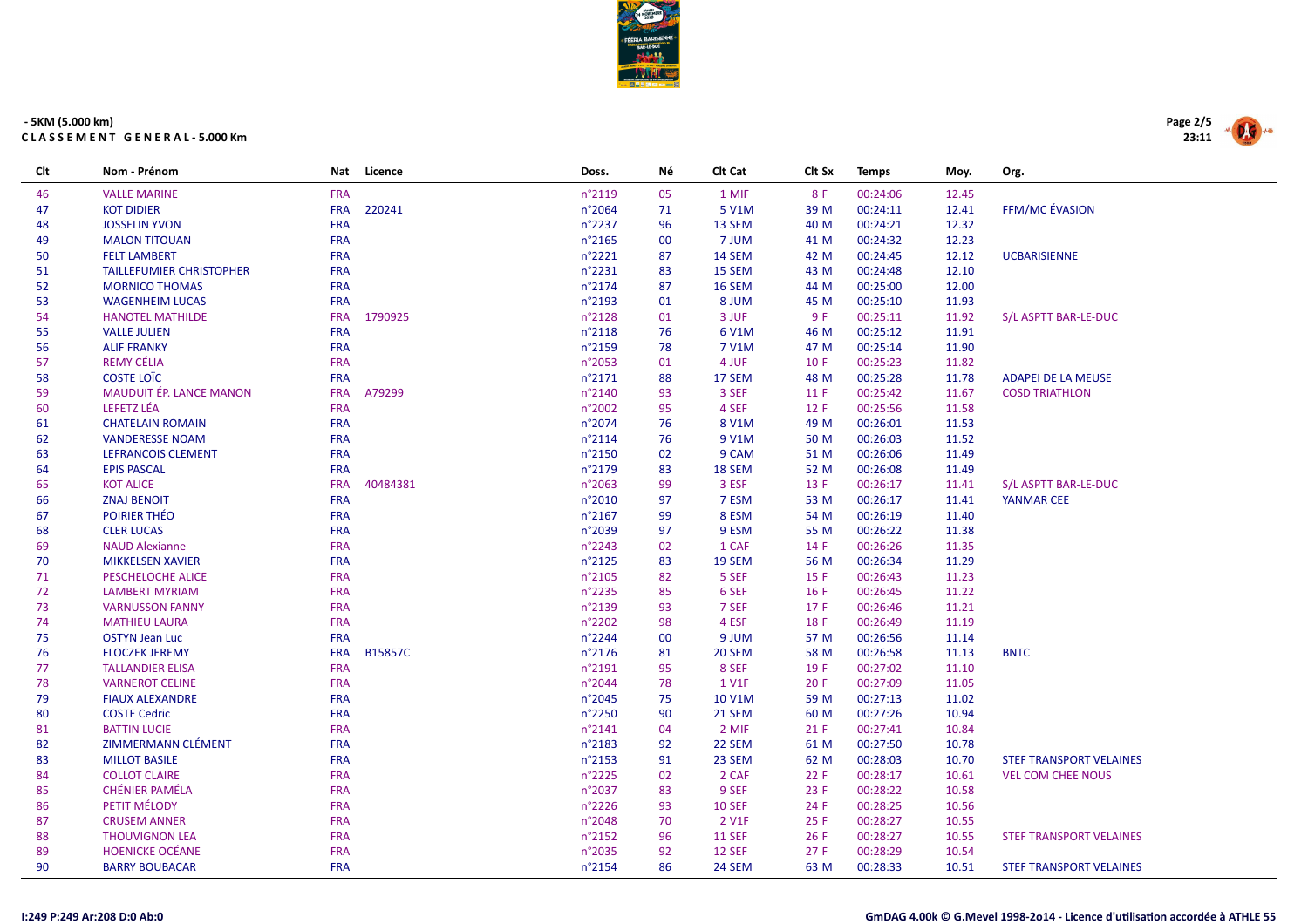

| Clt | Nom - Prénom                    | <b>Nat</b> | Licence        | Doss.            | Νé | Clt Cat       | Clt Sx | <b>Temps</b> | Moy.  | Org.                           |
|-----|---------------------------------|------------|----------------|------------------|----|---------------|--------|--------------|-------|--------------------------------|
| 46  | <b>VALLE MARINE</b>             | <b>FRA</b> |                | n°2119           | 05 | 1 MIF         | 8 F    | 00:24:06     | 12.45 |                                |
| 47  | <b>KOT DIDIER</b>               | <b>FRA</b> | 220241         | n°2064           | 71 | 5 V1M         | 39 M   | 00:24:11     | 12.41 | FFM/MC ÉVASION                 |
| 48  | <b>JOSSELIN YVON</b>            | <b>FRA</b> |                | n°2237           | 96 | 13 SEM        | 40 M   | 00:24:21     | 12.32 |                                |
| 49  | <b>MALON TITOUAN</b>            | <b>FRA</b> |                | n°2165           | 00 | 7 JUM         | 41 M   | 00:24:32     | 12.23 |                                |
| 50  | <b>FELT LAMBERT</b>             | <b>FRA</b> |                | n°2221           | 87 | 14 SEM        | 42 M   | 00:24:45     | 12.12 | <b>UCBARISIENNE</b>            |
| 51  | <b>TAILLEFUMIER CHRISTOPHER</b> | <b>FRA</b> |                | n°2231           | 83 | 15 SEM        | 43 M   | 00:24:48     | 12.10 |                                |
| 52  | <b>MORNICO THOMAS</b>           | <b>FRA</b> |                | n°2174           | 87 | <b>16 SEM</b> | 44 M   | 00:25:00     | 12.00 |                                |
| 53  | <b>WAGENHEIM LUCAS</b>          | <b>FRA</b> |                | n°2193           | 01 | 8 JUM         | 45 M   | 00:25:10     | 11.93 |                                |
| 54  | <b>HANOTEL MATHILDE</b>         | <b>FRA</b> | 1790925        | n°2128           | 01 | 3 JUF         | 9 F    | 00:25:11     | 11.92 | S/L ASPTT BAR-LE-DUC           |
| 55  | <b>VALLE JULIEN</b>             | <b>FRA</b> |                | n°2118           | 76 | 6 V1M         | 46 M   | 00:25:12     | 11.91 |                                |
| 56  | <b>ALIF FRANKY</b>              | <b>FRA</b> |                | n°2159           | 78 | 7 V1M         | 47 M   | 00:25:14     | 11.90 |                                |
| 57  | <b>REMY CÉLIA</b>               | <b>FRA</b> |                | n°2053           | 01 | 4 JUF         | 10 F   | 00:25:23     | 11.82 |                                |
| 58  | <b>COSTE LOÏC</b>               | <b>FRA</b> |                | n°2171           | 88 | 17 SEM        | 48 M   | 00:25:28     | 11.78 | <b>ADAPEI DE LA MEUSE</b>      |
| 59  | <b>MAUDUIT ÉP. LANCE MANON</b>  | <b>FRA</b> | A79299         | n°2140           | 93 | 3 SEF         | 11 F   | 00:25:42     | 11.67 | <b>COSD TRIATHLON</b>          |
| 60  | LEFETZ LÉA                      | <b>FRA</b> |                | n°2002           | 95 | 4 SEF         | 12 F   | 00:25:56     | 11.58 |                                |
| 61  | <b>CHATELAIN ROMAIN</b>         | <b>FRA</b> |                | n°2074           | 76 | 8 V1M         | 49 M   | 00:26:01     | 11.53 |                                |
| 62  | <b>VANDERESSE NOAM</b>          | <b>FRA</b> |                | n°2114           | 76 | 9 V1M         | 50 M   | 00:26:03     | 11.52 |                                |
| 63  | LEFRANCOIS CLEMENT              | <b>FRA</b> |                | n°2150           | 02 | 9 CAM         | 51 M   | 00:26:06     | 11.49 |                                |
| 64  | <b>EPIS PASCAL</b>              | <b>FRA</b> |                | n°2179           | 83 | 18 SEM        | 52 M   | 00:26:08     | 11.49 |                                |
| 65  | <b>KOT ALICE</b>                | <b>FRA</b> | 40484381       | n°2063           | 99 | 3 ESF         | 13 F   | 00:26:17     | 11.41 | S/L ASPTT BAR-LE-DUC           |
| 66  | <b>ZNAJ BENOIT</b>              | <b>FRA</b> |                | n°2010           | 97 | 7 ESM         | 53 M   | 00:26:17     | 11.41 | YANMAR CEE                     |
| 67  | POIRIER THÉO                    | <b>FRA</b> |                | n°2167           | 99 | 8 ESM         | 54 M   | 00:26:19     | 11.40 |                                |
| 68  | <b>CLER LUCAS</b>               | <b>FRA</b> |                | n°2039           | 97 | 9 ESM         | 55 M   | 00:26:22     | 11.38 |                                |
| 69  | <b>NAUD Alexianne</b>           | <b>FRA</b> |                | n°2243           | 02 | 1 CAF         | 14 F   | 00:26:26     | 11.35 |                                |
| 70  | <b>MIKKELSEN XAVIER</b>         | <b>FRA</b> |                | n°2125           | 83 | 19 SEM        | 56 M   | 00:26:34     | 11.29 |                                |
| 71  | PESCHELOCHE ALICE               | <b>FRA</b> |                | n°2105           | 82 | 5 SEF         | 15 F   | 00:26:43     | 11.23 |                                |
| 72  | <b>LAMBERT MYRIAM</b>           | <b>FRA</b> |                | n°2235           | 85 | 6 SEF         | 16 F   | 00:26:45     | 11.22 |                                |
| 73  | <b>VARNUSSON FANNY</b>          | <b>FRA</b> |                | n°2139           | 93 | 7 SEF         | 17 F   | 00:26:46     | 11.21 |                                |
| 74  | <b>MATHIEU LAURA</b>            | <b>FRA</b> |                | n°2202           | 98 | 4 ESF         | 18 F   | 00:26:49     | 11.19 |                                |
| 75  | <b>OSTYN Jean Luc</b>           | <b>FRA</b> |                | n°2244           | 00 | 9 JUM         | 57 M   | 00:26:56     | 11.14 |                                |
| 76  | <b>FLOCZEK JEREMY</b>           | <b>FRA</b> | <b>B15857C</b> | n°2176           | 81 | 20 SEM        | 58 M   | 00:26:58     | 11.13 | <b>BNTC</b>                    |
| 77  | <b>TALLANDIER ELISA</b>         | <b>FRA</b> |                | n°2191           | 95 | 8 SEF         | 19 F   | 00:27:02     | 11.10 |                                |
| 78  | <b>VARNEROT CELINE</b>          | <b>FRA</b> |                | n°2044           | 78 | 1 V1F         | 20F    | 00:27:09     | 11.05 |                                |
| 79  | <b>FIAUX ALEXANDRE</b>          | <b>FRA</b> |                | n°2045           | 75 | 10 V1M        | 59 M   | 00:27:13     | 11.02 |                                |
| 80  | <b>COSTE Cedric</b>             | <b>FRA</b> |                | n°2250           | 90 | 21 SEM        | 60 M   | 00:27:26     | 10.94 |                                |
| 81  | <b>BATTIN LUCIE</b>             | <b>FRA</b> |                | $n^{\circ}2141$  | 04 | 2 MIF         | 21 F   | 00:27:41     | 10.84 |                                |
| 82  | ZIMMERMANN CLÉMENT              | <b>FRA</b> |                | n°2183           | 92 | 22 SEM        | 61 M   | 00:27:50     | 10.78 |                                |
| 83  | <b>MILLOT BASILE</b>            | <b>FRA</b> |                | n°2153           | 91 | 23 SEM        | 62 M   | 00:28:03     | 10.70 | <b>STEF TRANSPORT VELAINES</b> |
| 84  | <b>COLLOT CLAIRE</b>            | <b>FRA</b> |                | n°2225           | 02 | 2 CAF         | 22 F   | 00:28:17     | 10.61 | <b>VEL COM CHEE NOUS</b>       |
| 85  | <b>CHÉNIER PAMÉLA</b>           | <b>FRA</b> |                | n°2037           | 83 | 9 SEF         | 23 F   | 00:28:22     | 10.58 |                                |
| 86  | PETIT MÉLODY                    | <b>FRA</b> |                | $n^{\circ}$ 2226 | 93 | <b>10 SEF</b> | 24 F   | 00:28:25     | 10.56 |                                |
| 87  | <b>CRUSEM ANNER</b>             | <b>FRA</b> |                | n°2048           | 70 | 2 V1F         | 25 F   | 00:28:27     | 10.55 |                                |
| 88  | <b>THOUVIGNON LEA</b>           | <b>FRA</b> |                | n°2152           | 96 | <b>11 SEF</b> | 26 F   | 00:28:27     | 10.55 | <b>STEF TRANSPORT VELAINES</b> |
| 89  | <b>HOENICKE OCÉANE</b>          | <b>FRA</b> |                | n°2035           | 92 | <b>12 SEF</b> | 27F    | 00:28:29     | 10.54 |                                |
| 90  | <b>BARRY BOUBACAR</b>           | <b>FRA</b> |                | n°2154           | 86 | 24 SEM        | 63 M   | 00:28:33     | 10.51 | <b>STEF TRANSPORT VELAINES</b> |
|     |                                 |            |                |                  |    |               |        |              |       |                                |

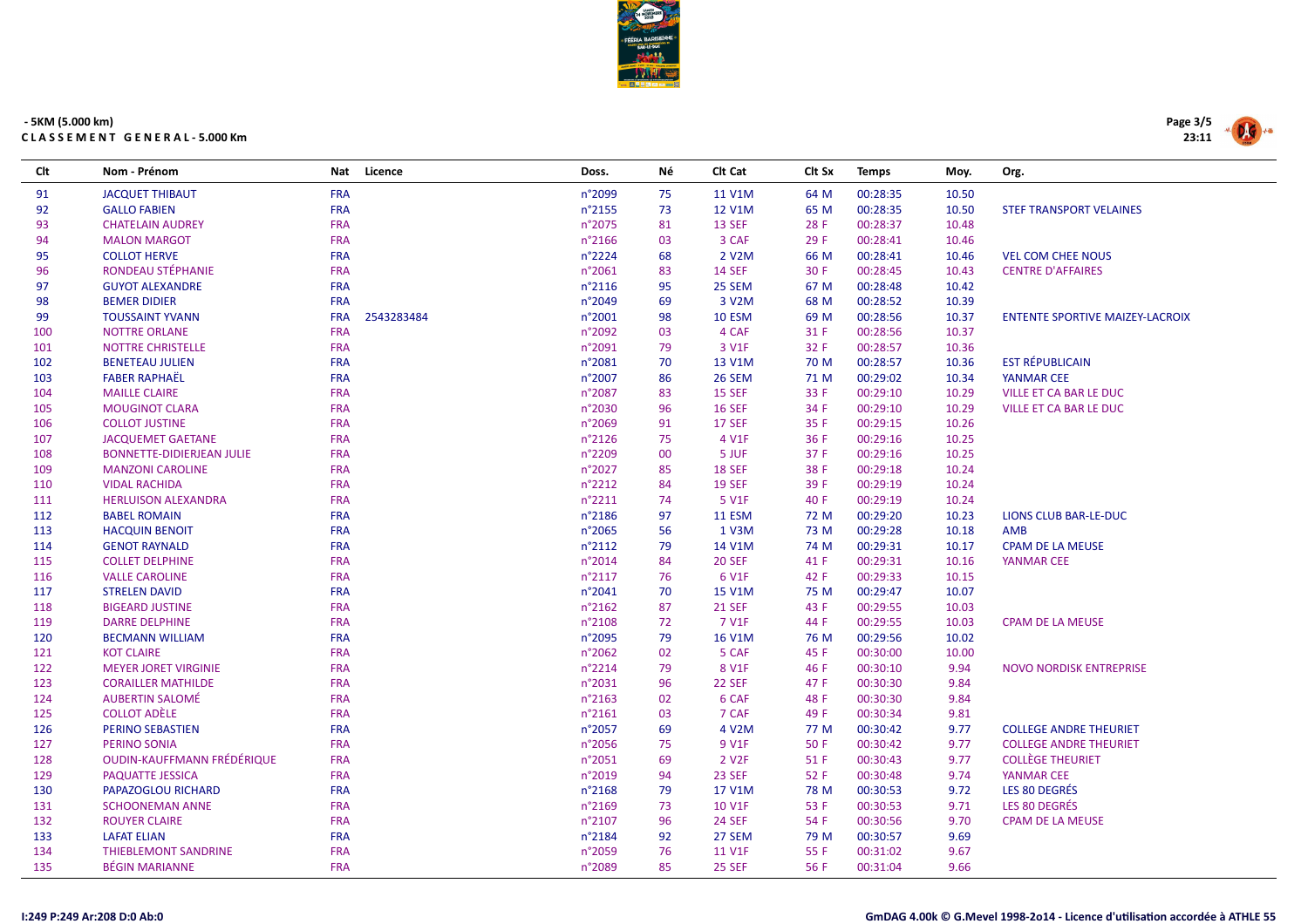

| Clt | Nom - Prénom                      |            | Nat Licence | Doss.           | Νé | Clt Cat            | CIt Sx | <b>Temps</b> | Moy.  | Org.                                   |
|-----|-----------------------------------|------------|-------------|-----------------|----|--------------------|--------|--------------|-------|----------------------------------------|
| 91  | <b>JACQUET THIBAUT</b>            | <b>FRA</b> |             | n°2099          | 75 | 11 V1M             | 64 M   | 00:28:35     | 10.50 |                                        |
| 92  | <b>GALLO FABIEN</b>               | <b>FRA</b> |             | n°2155          | 73 | 12 V1M             | 65 M   | 00:28:35     | 10.50 | <b>STEF TRANSPORT VELAINES</b>         |
| 93  | <b>CHATELAIN AUDREY</b>           | <b>FRA</b> |             | n°2075          | 81 | <b>13 SEF</b>      | 28 F   | 00:28:37     | 10.48 |                                        |
| 94  | <b>MALON MARGOT</b>               | <b>FRA</b> |             | n°2166          | 03 | 3 CAF              | 29 F   | 00:28:41     | 10.46 |                                        |
| 95  | <b>COLLOT HERVE</b>               | <b>FRA</b> |             | n°2224          | 68 | 2 V2M              | 66 M   | 00:28:41     | 10.46 | <b>VEL COM CHEE NOUS</b>               |
| 96  | RONDEAU STÉPHANIE                 | <b>FRA</b> |             | n°2061          | 83 | <b>14 SEF</b>      | 30 F   | 00:28:45     | 10.43 | <b>CENTRE D'AFFAIRES</b>               |
| 97  | <b>GUYOT ALEXANDRE</b>            | <b>FRA</b> |             | $n^{\circ}2116$ | 95 | 25 SEM             | 67 M   | 00:28:48     | 10.42 |                                        |
| 98  | <b>BEMER DIDIER</b>               | <b>FRA</b> |             | n°2049          | 69 | 3 V <sub>2</sub> M | 68 M   | 00:28:52     | 10.39 |                                        |
| 99  | <b>TOUSSAINT YVANN</b>            | <b>FRA</b> | 2543283484  | n°2001          | 98 | <b>10 ESM</b>      | 69 M   | 00:28:56     | 10.37 | <b>ENTENTE SPORTIVE MAIZEY-LACROIX</b> |
| 100 | <b>NOTTRE ORLANE</b>              | <b>FRA</b> |             | n°2092          | 03 | 4 CAF              | 31 F   | 00:28:56     | 10.37 |                                        |
| 101 | <b>NOTTRE CHRISTELLE</b>          | <b>FRA</b> |             | n°2091          | 79 | 3 V1F              | 32 F   | 00:28:57     | 10.36 |                                        |
| 102 | <b>BENETEAU JULIEN</b>            | <b>FRA</b> |             | n°2081          | 70 | 13 V1M             | 70 M   | 00:28:57     | 10.36 | <b>EST RÉPUBLICAIN</b>                 |
| 103 | <b>FABER RAPHAËL</b>              | <b>FRA</b> |             | n°2007          | 86 | 26 SEM             | 71 M   | 00:29:02     | 10.34 | YANMAR CEE                             |
| 104 | <b>MAILLE CLAIRE</b>              | <b>FRA</b> |             | n°2087          | 83 | <b>15 SEF</b>      | 33 F   | 00:29:10     | 10.29 | VILLE ET CA BAR LE DUC                 |
| 105 | <b>MOUGINOT CLARA</b>             | <b>FRA</b> |             | n°2030          | 96 | <b>16 SEF</b>      | 34 F   | 00:29:10     | 10.29 | VILLE ET CA BAR LE DUC                 |
| 106 | <b>COLLOT JUSTINE</b>             | <b>FRA</b> |             | n°2069          | 91 | <b>17 SEF</b>      | 35 F   | 00:29:15     | 10.26 |                                        |
| 107 | <b>JACQUEMET GAETANE</b>          | <b>FRA</b> |             | n°2126          | 75 | 4 V1F              | 36 F   | 00:29:16     | 10.25 |                                        |
| 108 | <b>BONNETTE-DIDIERJEAN JULIE</b>  | <b>FRA</b> |             | n°2209          | 00 | 5 JUF              | 37 F   | 00:29:16     | 10.25 |                                        |
| 109 | <b>MANZONI CAROLINE</b>           | <b>FRA</b> |             | n°2027          | 85 | <b>18 SEF</b>      | 38 F   | 00:29:18     | 10.24 |                                        |
| 110 | <b>VIDAL RACHIDA</b>              | <b>FRA</b> |             | $n^{\circ}2212$ | 84 | <b>19 SEF</b>      | 39 F   | 00:29:19     | 10.24 |                                        |
| 111 | <b>HERLUISON ALEXANDRA</b>        | <b>FRA</b> |             | n°2211          | 74 | 5 V1F              | 40 F   | 00:29:19     | 10.24 |                                        |
| 112 | <b>BABEL ROMAIN</b>               | <b>FRA</b> |             | $n^{\circ}2186$ | 97 | 11 ESM             | 72 M   | 00:29:20     | 10.23 | <b>LIONS CLUB BAR-LE-DUC</b>           |
| 113 | <b>HACQUIN BENOIT</b>             | <b>FRA</b> |             | n°2065          | 56 | 1 V3M              | 73 M   | 00:29:28     | 10.18 | AMB                                    |
| 114 | <b>GENOT RAYNALD</b>              | <b>FRA</b> |             | $n^{\circ}2112$ | 79 | 14 V1M             | 74 M   | 00:29:31     | 10.17 | <b>CPAM DE LA MEUSE</b>                |
| 115 | <b>COLLET DELPHINE</b>            | <b>FRA</b> |             | n°2014          | 84 | <b>20 SEF</b>      | 41 F   | 00:29:31     | 10.16 | <b>YANMAR CEE</b>                      |
| 116 | <b>VALLE CAROLINE</b>             | <b>FRA</b> |             | n°2117          | 76 | 6 V1F              | 42 F   | 00:29:33     | 10.15 |                                        |
| 117 | <b>STRELEN DAVID</b>              | <b>FRA</b> |             | $n^{\circ}2041$ | 70 | <b>15 V1M</b>      | 75 M   | 00:29:47     | 10.07 |                                        |
| 118 | <b>BIGEARD JUSTINE</b>            | <b>FRA</b> |             | n°2162          | 87 | <b>21 SEF</b>      | 43 F   | 00:29:55     | 10.03 |                                        |
| 119 | <b>DARRE DELPHINE</b>             | <b>FRA</b> |             | n°2108          | 72 | 7 V1F              | 44 F   | 00:29:55     | 10.03 | <b>CPAM DE LA MEUSE</b>                |
| 120 | <b>BECMANN WILLIAM</b>            | <b>FRA</b> |             | n°2095          | 79 | 16 V1M             | 76 M   | 00:29:56     | 10.02 |                                        |
| 121 | <b>KOT CLAIRE</b>                 | <b>FRA</b> |             | n°2062          | 02 | 5 CAF              | 45 F   | 00:30:00     | 10.00 |                                        |
| 122 | <b>MEYER JORET VIRGINIE</b>       | <b>FRA</b> |             | $n^{\circ}2214$ | 79 | 8 V1F              | 46 F   | 00:30:10     | 9.94  | <b>NOVO NORDISK ENTREPRISE</b>         |
| 123 | <b>CORAILLER MATHILDE</b>         | <b>FRA</b> |             | n°2031          | 96 | 22 SEF             | 47 F   | 00:30:30     | 9.84  |                                        |
| 124 | <b>AUBERTIN SALOMÉ</b>            | <b>FRA</b> |             | n°2163          | 02 | 6 CAF              | 48 F   | 00:30:30     | 9.84  |                                        |
| 125 | <b>COLLOT ADÈLE</b>               | <b>FRA</b> |             | n°2161          | 03 | 7 CAF              | 49 F   | 00:30:34     | 9.81  |                                        |
| 126 | PERINO SEBASTIEN                  | <b>FRA</b> |             | n°2057          | 69 | 4 V <sub>2</sub> M | 77 M   | 00:30:42     | 9.77  | <b>COLLEGE ANDRE THEURIET</b>          |
| 127 | <b>PERINO SONIA</b>               | <b>FRA</b> |             | n°2056          | 75 | 9 V1F              | 50 F   | 00:30:42     | 9.77  | <b>COLLEGE ANDRE THEURIET</b>          |
| 128 | <b>OUDIN-KAUFFMANN FRÉDÉRIQUE</b> | <b>FRA</b> |             | n°2051          | 69 | 2 V <sub>2</sub> F | 51 F   | 00:30:43     | 9.77  | <b>COLLÈGE THEURIET</b>                |
| 129 | PAQUATTE JESSICA                  | <b>FRA</b> |             | n°2019          | 94 | <b>23 SEF</b>      | 52 F   | 00:30:48     | 9.74  | YANMAR CEE                             |
| 130 | PAPAZOGLOU RICHARD                | <b>FRA</b> |             | n°2168          | 79 | 17 V1M             | 78 M   | 00:30:53     | 9.72  | LES 80 DEGRÉS                          |
| 131 | <b>SCHOONEMAN ANNE</b>            | <b>FRA</b> |             | n°2169          | 73 | 10 V1F             | 53 F   | 00:30:53     | 9.71  | LES 80 DEGRÉS                          |
| 132 | <b>ROUYER CLAIRE</b>              | <b>FRA</b> |             | n°2107          | 96 | <b>24 SEF</b>      | 54 F   | 00:30:56     | 9.70  | <b>CPAM DE LA MEUSE</b>                |
| 133 | <b>LAFAT ELIAN</b>                | <b>FRA</b> |             | n°2184          | 92 | 27 SEM             | 79 M   | 00:30:57     | 9.69  |                                        |
| 134 | THIEBLEMONT SANDRINE              | <b>FRA</b> |             | n°2059          | 76 | <b>11 V1F</b>      | 55 F   | 00:31:02     | 9.67  |                                        |
| 135 | <b>BÉGIN MARIANNE</b>             | <b>FRA</b> |             | n°2089          | 85 | <b>25 SEF</b>      | 56 F   | 00:31:04     | 9.66  |                                        |

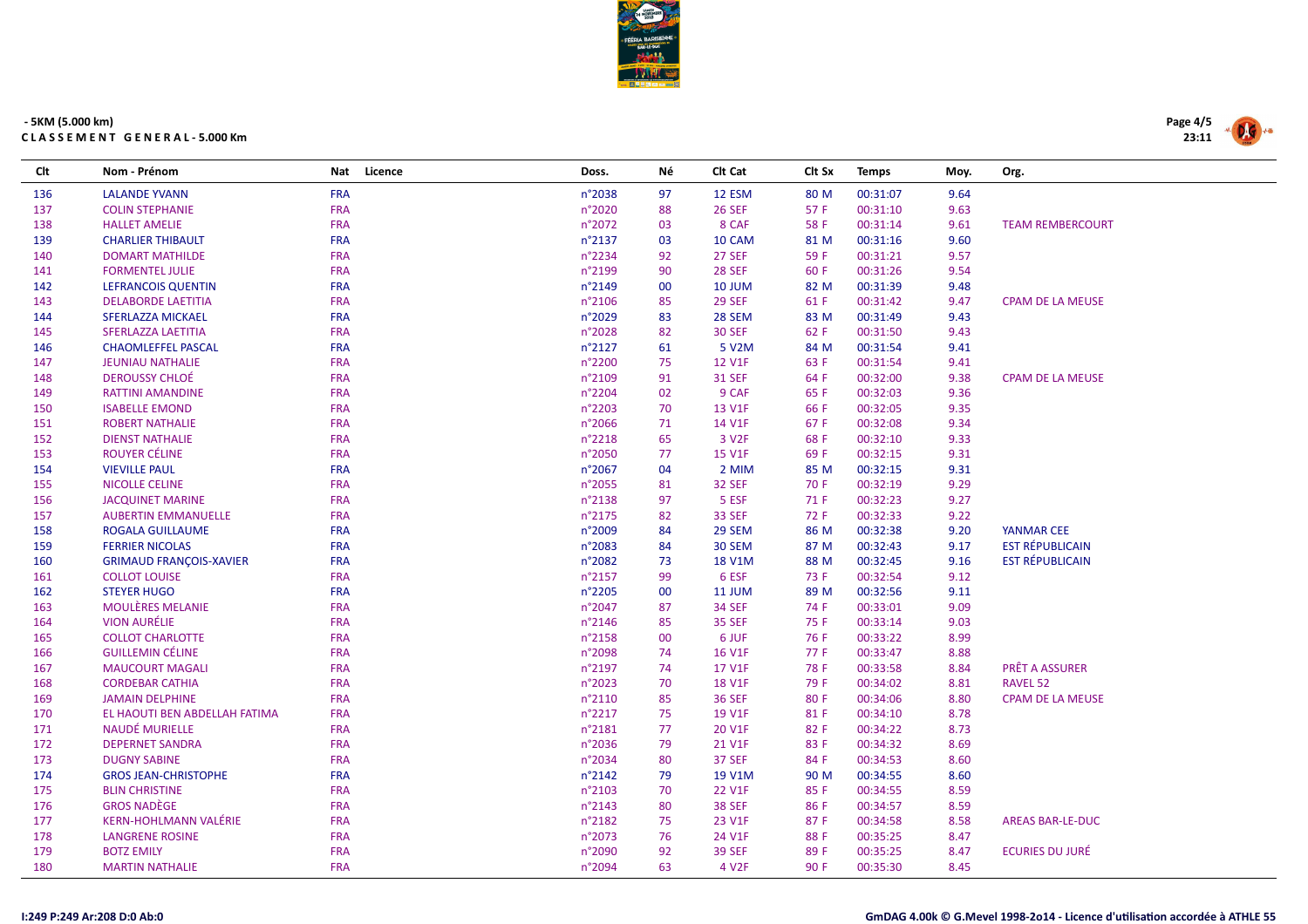

| Clt | Nom - Prénom                   | Licence<br>Nat | Doss.           | Νé | CIt Cat           | CIt Sx | <b>Temps</b> | Moy. | Org.                    |
|-----|--------------------------------|----------------|-----------------|----|-------------------|--------|--------------|------|-------------------------|
| 136 | <b>LALANDE YVANN</b>           | <b>FRA</b>     | n°2038          | 97 | 12 ESM            | 80 M   | 00:31:07     | 9.64 |                         |
| 137 | <b>COLIN STEPHANIE</b>         | <b>FRA</b>     | n°2020          | 88 | <b>26 SEF</b>     | 57 F   | 00:31:10     | 9.63 |                         |
| 138 | <b>HALLET AMELIE</b>           | <b>FRA</b>     | n°2072          | 03 | 8 CAF             | 58 F   | 00:31:14     | 9.61 | <b>TEAM REMBERCOURT</b> |
| 139 | <b>CHARLIER THIBAULT</b>       | <b>FRA</b>     | n°2137          | 03 | 10 CAM            | 81 M   | 00:31:16     | 9.60 |                         |
| 140 | <b>DOMART MATHILDE</b>         | <b>FRA</b>     | n°2234          | 92 | <b>27 SEF</b>     | 59 F   | 00:31:21     | 9.57 |                         |
| 141 | <b>FORMENTEL JULIE</b>         | <b>FRA</b>     | n°2199          | 90 | <b>28 SEF</b>     | 60 F   | 00:31:26     | 9.54 |                         |
| 142 | LEFRANCOIS QUENTIN             | <b>FRA</b>     | n°2149          | 00 | 10 JUM            | 82 M   | 00:31:39     | 9.48 |                         |
| 143 | <b>DELABORDE LAETITIA</b>      | <b>FRA</b>     | n°2106          | 85 | <b>29 SEF</b>     | 61 F   | 00:31:42     | 9.47 | <b>CPAM DE LA MEUSE</b> |
| 144 | SFERLAZZA MICKAEL              | <b>FRA</b>     | n°2029          | 83 | 28 SEM            | 83 M   | 00:31:49     | 9.43 |                         |
| 145 | SFERLAZZA LAETITIA             | <b>FRA</b>     | n°2028          | 82 | <b>30 SEF</b>     | 62 F   | 00:31:50     | 9.43 |                         |
| 146 | <b>CHAOMLEFFEL PASCAL</b>      | <b>FRA</b>     | n°2127          | 61 | 5 V2M             | 84 M   | 00:31:54     | 9.41 |                         |
| 147 | <b>JEUNIAU NATHALIE</b>        | <b>FRA</b>     | n°2200          | 75 | 12 V1F            | 63 F   | 00:31:54     | 9.41 |                         |
| 148 | <b>DEROUSSY CHLOÉ</b>          | <b>FRA</b>     | n°2109          | 91 | <b>31 SEF</b>     | 64 F   | 00:32:00     | 9.38 | <b>CPAM DE LA MEUSE</b> |
| 149 | <b>RATTINI AMANDINE</b>        | <b>FRA</b>     | n°2204          | 02 | 9 CAF             | 65 F   | 00:32:03     | 9.36 |                         |
| 150 | <b>ISABELLE EMOND</b>          | <b>FRA</b>     | n°2203          | 70 | 13 V1F            | 66 F   | 00:32:05     | 9.35 |                         |
| 151 | <b>ROBERT NATHALIE</b>         | <b>FRA</b>     | n°2066          | 71 | 14 V1F            | 67 F   | 00:32:08     | 9.34 |                         |
| 152 | <b>DIENST NATHALIE</b>         | <b>FRA</b>     | n°2218          | 65 | 3 V <sub>2F</sub> | 68 F   | 00:32:10     | 9.33 |                         |
| 153 | ROUYER CÉLINE                  | <b>FRA</b>     | n°2050          | 77 | 15 V1F            | 69 F   | 00:32:15     | 9.31 |                         |
| 154 | <b>VIEVILLE PAUL</b>           | <b>FRA</b>     | n°2067          | 04 | 2 MIM             | 85 M   | 00:32:15     | 9.31 |                         |
| 155 | <b>NICOLLE CELINE</b>          | <b>FRA</b>     | n°2055          | 81 | <b>32 SEF</b>     | 70 F   | 00:32:19     | 9.29 |                         |
| 156 | <b>JACQUINET MARINE</b>        | <b>FRA</b>     | n°2138          | 97 | 5 ESF             | 71 F   | 00:32:23     | 9.27 |                         |
| 157 | <b>AUBERTIN EMMANUELLE</b>     | <b>FRA</b>     | $n^{\circ}2175$ | 82 | <b>33 SEF</b>     | 72 F   | 00:32:33     | 9.22 |                         |
| 158 | <b>ROGALA GUILLAUME</b>        | <b>FRA</b>     | n°2009          | 84 | 29 SEM            | 86 M   | 00:32:38     | 9.20 | <b>YANMAR CEE</b>       |
| 159 | <b>FERRIER NICOLAS</b>         | <b>FRA</b>     | n°2083          | 84 | 30 SEM            | 87 M   | 00:32:43     | 9.17 | <b>EST RÉPUBLICAIN</b>  |
| 160 | <b>GRIMAUD FRANÇOIS-XAVIER</b> | <b>FRA</b>     | n°2082          | 73 | <b>18 V1M</b>     | 88 M   | 00:32:45     | 9.16 | <b>EST RÉPUBLICAIN</b>  |
| 161 | <b>COLLOT LOUISE</b>           | <b>FRA</b>     | n°2157          | 99 | 6 ESF             | 73 F   | 00:32:54     | 9.12 |                         |
| 162 | <b>STEYER HUGO</b>             | <b>FRA</b>     | n°2205          | 00 | <b>11 JUM</b>     | 89 M   | 00:32:56     | 9.11 |                         |
| 163 | <b>MOULÈRES MELANIE</b>        | <b>FRA</b>     | n°2047          | 87 | <b>34 SEF</b>     | 74 F   | 00:33:01     | 9.09 |                         |
| 164 | <b>VION AURÉLIE</b>            | <b>FRA</b>     | n°2146          | 85 | <b>35 SEF</b>     | 75 F   | 00:33:14     | 9.03 |                         |
| 165 | <b>COLLOT CHARLOTTE</b>        | <b>FRA</b>     | n°2158          | 00 | 6 JUF             | 76 F   | 00:33:22     | 8.99 |                         |
| 166 | <b>GUILLEMIN CÉLINE</b>        | <b>FRA</b>     | n°2098          | 74 | <b>16 V1F</b>     | 77 F   | 00:33:47     | 8.88 |                         |
| 167 | <b>MAUCOURT MAGALI</b>         | <b>FRA</b>     | n°2197          | 74 | 17 V1F            | 78 F   | 00:33:58     | 8.84 | PRÊT A ASSURER          |
| 168 | <b>CORDEBAR CATHIA</b>         | <b>FRA</b>     | n°2023          | 70 | <b>18 V1F</b>     | 79 F   | 00:34:02     | 8.81 | <b>RAVEL 52</b>         |
| 169 | <b>JAMAIN DELPHINE</b>         | <b>FRA</b>     | $n^{\circ}2110$ | 85 | <b>36 SEF</b>     | 80 F   | 00:34:06     | 8.80 | CPAM DE LA MEUSE        |
| 170 | EL HAOUTI BEN ABDELLAH FATIMA  | <b>FRA</b>     | n°2217          | 75 | 19 V1F            | 81 F   | 00:34:10     | 8.78 |                         |
| 171 | NAUDÉ MURIELLE                 | <b>FRA</b>     | n°2181          | 77 | 20 V1F            | 82 F   | 00:34:22     | 8.73 |                         |
| 172 | <b>DEPERNET SANDRA</b>         | <b>FRA</b>     | n°2036          | 79 | 21 V1F            | 83 F   | 00:34:32     | 8.69 |                         |
| 173 | <b>DUGNY SABINE</b>            | <b>FRA</b>     | n°2034          | 80 | 37 SEF            | 84 F   | 00:34:53     | 8.60 |                         |
| 174 | <b>GROS JEAN-CHRISTOPHE</b>    | <b>FRA</b>     | $n^{\circ}2142$ | 79 | 19 V1M            | 90 M   | 00:34:55     | 8.60 |                         |
| 175 | <b>BLIN CHRISTINE</b>          | <b>FRA</b>     | $n^{\circ}2103$ | 70 | 22 V1F            | 85 F   | 00:34:55     | 8.59 |                         |
| 176 | <b>GROS NADÈGE</b>             | <b>FRA</b>     | n°2143          | 80 | <b>38 SEF</b>     | 86 F   | 00:34:57     | 8.59 |                         |
| 177 | KERN-HOHLMANN VALÉRIE          | <b>FRA</b>     | n°2182          | 75 | 23 V1F            | 87F    | 00:34:58     | 8.58 | <b>AREAS BAR-LE-DUC</b> |
| 178 | <b>LANGRENE ROSINE</b>         | <b>FRA</b>     | n°2073          | 76 | 24 V1F            | 88 F   | 00:35:25     | 8.47 |                         |
| 179 | <b>BOTZ EMILY</b>              | <b>FRA</b>     | n°2090          | 92 | <b>39 SEF</b>     | 89 F   | 00:35:25     | 8.47 | <b>ECURIES DU JURÉ</b>  |
| 180 | <b>MARTIN NATHALIE</b>         | <b>FRA</b>     | n°2094          | 63 | 4 V <sub>2F</sub> | 90 F   | 00:35:30     | 8.45 |                         |
|     |                                |                |                 |    |                   |        |              |      |                         |